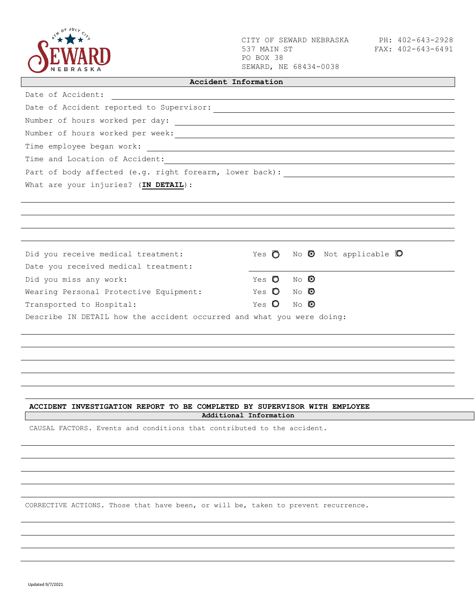

CITY OF SEWARD NEBRASKA PH: 402-643-2928 537 MAIN ST PO BOX 38 SEWARD, NE 68434-0038

┑

| Date of Accident:<br><u> 1989 - Johann Stoff, deutscher Stoff aus der Stoff aus der Stoff aus der Stoff aus der Stoff aus der Stoff aus</u>                                                                                    |              |                                  |      |  |                                                        |  |
|--------------------------------------------------------------------------------------------------------------------------------------------------------------------------------------------------------------------------------|--------------|----------------------------------|------|--|--------------------------------------------------------|--|
|                                                                                                                                                                                                                                |              |                                  |      |  |                                                        |  |
|                                                                                                                                                                                                                                |              |                                  |      |  |                                                        |  |
|                                                                                                                                                                                                                                |              |                                  |      |  |                                                        |  |
|                                                                                                                                                                                                                                |              |                                  |      |  |                                                        |  |
|                                                                                                                                                                                                                                |              |                                  |      |  |                                                        |  |
| Part of body affected (e.g. right forearm, lower back): \\esp \\esp \\esp \\esp \\esp \\esp \\esp \\esp \\esp \\esp \\esp \\esp \\esp \\esp \\esp \\esp \\esp \\esp \\esp \\esp \\esp \\esp \\esp \\esp \\esp \\esp \\esp \\es |              |                                  |      |  |                                                        |  |
| What are your injuries? (IN DETAIL) :                                                                                                                                                                                          |              |                                  |      |  |                                                        |  |
|                                                                                                                                                                                                                                |              |                                  |      |  |                                                        |  |
|                                                                                                                                                                                                                                |              |                                  |      |  |                                                        |  |
|                                                                                                                                                                                                                                |              |                                  |      |  |                                                        |  |
|                                                                                                                                                                                                                                |              |                                  |      |  |                                                        |  |
| Did you receive medical treatment:                                                                                                                                                                                             |              |                                  |      |  | Yes $\bigcirc$ No $\bigcirc$ Not applicable $\bigcirc$ |  |
| Date you received medical treatment:                                                                                                                                                                                           |              |                                  |      |  |                                                        |  |
| Did you miss any work:                                                                                                                                                                                                         | Yes <b>O</b> |                                  | no O |  |                                                        |  |
| Wearing Personal Protective Equipment: Yes $\bigcirc$ No $\bigcirc$                                                                                                                                                            |              |                                  |      |  |                                                        |  |
| Transported to Hospital:                                                                                                                                                                                                       |              | Yes $\mathbf{O}$ No $\mathbf{O}$ |      |  |                                                        |  |

Describe IN DETAIL how the accident occurred and what you were doing:

## **ACCIDENT INVESTIGATION REPORT TO BE COMPLETED BY SUPERVISOR WITH EMPLOYEE**

**Additional Information** 

CAUSAL FACTORS. Events and conditions that contributed to the accident.

CORRECTIVE ACTIONS. Those that have been, or will be, taken to prevent recurrence.